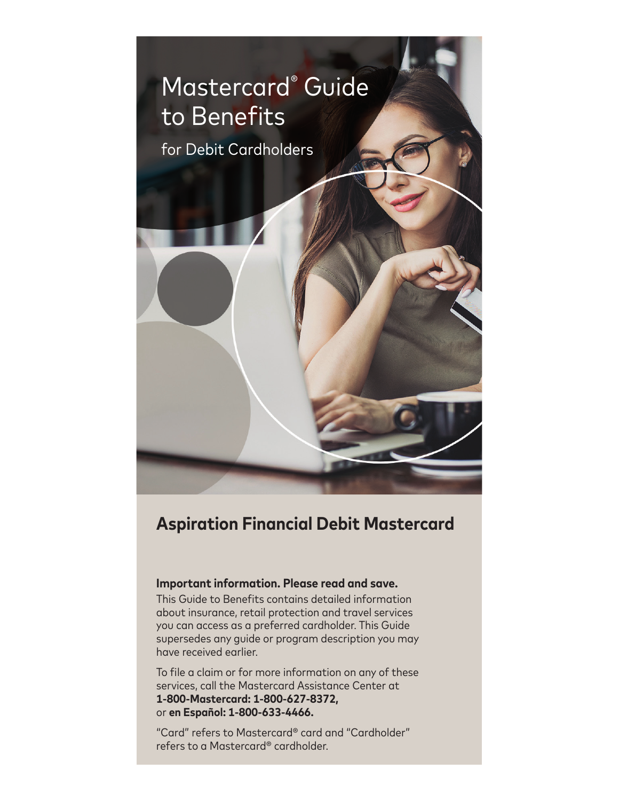

# **Aspiration Financial Debit Mastercard**

# **Important information. Please read and save.**

This Guide to Benefits contains detailed information about insurance, retail protection and travel services you can access as a preferred cardholder. This Guide supersedes any guide or program description you may have received earlier.

To file a claim or for more information on any of these services, call the Mastercard Assistance Center at **1-800-Mastercard: 1-800-627-8372,**  or **en Español: 1-800-633-4466.**

"Card" refers to Mastercard® card and "Cardholder" refers to a Mastercard® cardholder.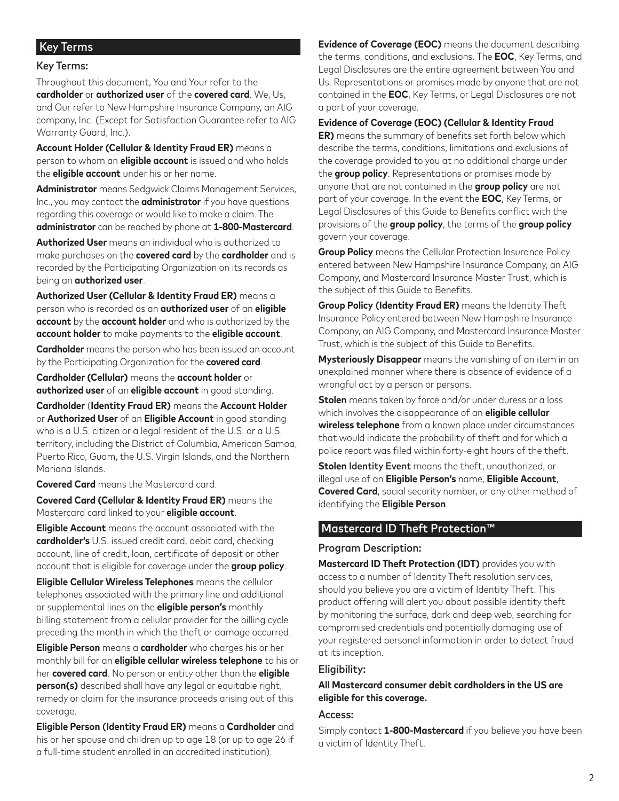# Key Terms

#### Key Terms:

Throughout this document, You and Your refer to the **cardholder** or **authorized user** of the **covered card**. We, Us, and Our refer to New Hampshire Insurance Company, an AIG company, Inc. (Except for Satisfaction Guarantee refer to AIG Warranty Guard, Inc.).

**Account Holder (Cellular & Identity Fraud ER)** means a person to whom an **eligible account** is issued and who holds the **eligible account** under his or her name.

**Administrator** means Sedgwick Claims Management Services, Inc., you may contact the **administrator** if you have questions regarding this coverage or would like to make a claim. The **administrator** can be reached by phone at **1-800-Mastercard**.

**Authorized User** means an individual who is authorized to make purchases on the **covered card** by the **cardholder** and is recorded by the Participating Organization on its records as being an **authorized user**.

**Authorized User (Cellular & Identity Fraud ER)** means a person who is recorded as an **authorized user** of an **eligible account** by the **account holder** and who is authorized by the **account holder** to make payments to the **eligible account**.

**Cardholder** means the person who has been issued an account by the Participating Organization for the **covered card**.

**Cardholder (Cellular)** means the **account holder** or **authorized user** of an **eligible account** in good standing.

**Cardholder** (**Identity Fraud ER)** means the **Account Holder** or **Authorized User** of an **Eligible Account** in good standing who is a U.S. citizen or a legal resident of the U.S. or a U.S. territory, including the District of Columbia, American Samoa, Puerto Rico, Guam, the U.S. Virgin Islands, and the Northern Mariana Islands.

**Covered Card** means the Mastercard card.

**Covered Card (Cellular & Identity Fraud ER)** means the Mastercard card linked to your **eligible account**.

**Eligible Account** means the account associated with the **cardholder's** U.S. issued credit card, debit card, checking account, line of credit, loan, certificate of deposit or other account that is eligible for coverage under the **group policy**.

**Eligible Cellular Wireless Telephones** means the cellular telephones associated with the primary line and additional or supplemental lines on the **eligible person's** monthly billing statement from a cellular provider for the billing cycle preceding the month in which the theft or damage occurred.

**Eligible Person** means a **cardholder** who charges his or her monthly bill for an **eligible cellular wireless telephone** to his or her **covered card**. No person or entity other than the **eligible person(s)** described shall have any legal or equitable right, remedy or claim for the insurance proceeds arising out of this coverage.

**Eligible Person** (**Identity Fraud ER)** means a **Cardholder** and his or her spouse and children up to age 18 (or up to age 26 if a full-time student enrolled in an accredited institution).

**Evidence of Coverage (EOC)** means the document describing the terms, conditions, and exclusions. The **EOC**, Key Terms, and Legal Disclosures are the entire agreement between You and Us. Representations or promises made by anyone that are not contained in the **EOC**, Key Terms, or Legal Disclosures are not a part of your coverage.

**Evidence of Coverage (EOC) (Cellular & Identity Fraud ER)** means the summary of benefits set forth below which describe the terms, conditions, limitations and exclusions of the coverage provided to you at no additional charge under the **group policy**. Representations or promises made by anyone that are not contained in the **group policy** are not part of your coverage. In the event the **EOC**, Key Terms, or Legal Disclosures of this Guide to Benefits conflict with the provisions of the **group policy**, the terms of the **group policy** govern your coverage.

**Group Policy** means the Cellular Protection Insurance Policy entered between New Hampshire Insurance Company, an AIG Company, and Mastercard Insurance Master Trust, which is the subject of this Guide to Benefits.

**Group Policy** (**Identity Fraud ER)** means the Identity Theft Insurance Policy entered between New Hampshire Insurance Company, an AIG Company, and Mastercard Insurance Master Trust, which is the subject of this Guide to Benefits.

**Mysteriously Disappear** means the vanishing of an item in an unexplained manner where there is absence of evidence of a wrongful act by a person or persons.

**Stolen** means taken by force and/or under duress or a loss which involves the disappearance of an **eligible cellular wireless telephone** from a known place under circumstances that would indicate the probability of theft and for which a police report was filed within forty-eight hours of the theft.

**Stolen** Identity Event means the theft, unauthorized, or illegal use of an **Eligible Person's** name, **Eligible Account**, **Covered Card**, social security number, or any other method of identifying the **Eligible Person**.

# Mastercard ID Theft Protection™

#### Program Description:

**Mastercard ID Theft Protection (IDT)** provides you with access to a number of Identity Theft resolution services, should you believe you are a victim of Identity Theft. This product offering will alert you about possible identity theft by monitoring the surface, dark and deep web, searching for compromised credentials and potentially damaging use of your registered personal information in order to detect fraud at its inception.

#### Eligibility:

**All Mastercard consumer debit cardholders in the US are eligible for this coverage.**

#### Access:

Simply contact **1-800-Mastercard** if you believe you have been a victim of Identity Theft.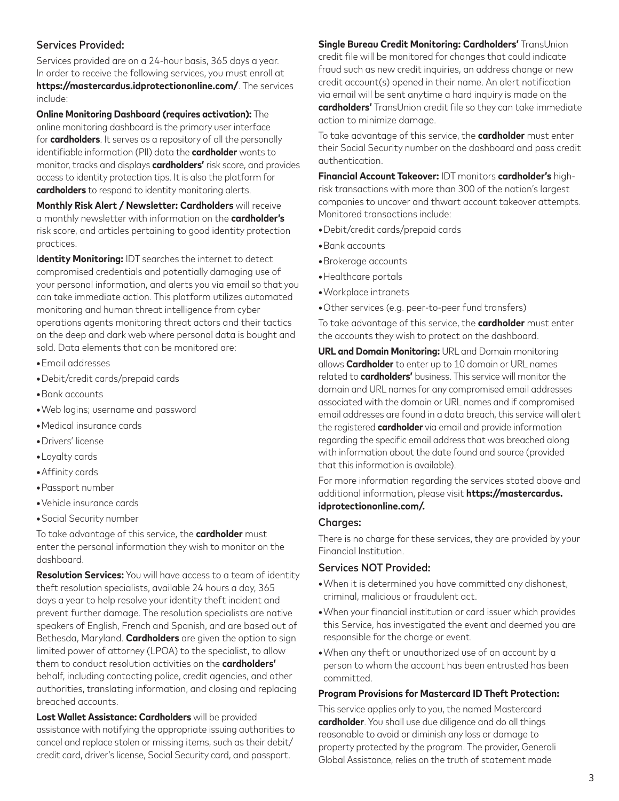# Services Provided:

Services provided are on a 24-hour basis, 365 days a year. In order to receive the following services, you must enroll at **https://mastercardus.idprotectiononline.com/**. The services include:

**Online Monitoring Dashboard (requires activation):** The online monitoring dashboard is the primary user interface for **cardholders**. It serves as a repository of all the personally identifiable information (PII) data the **cardholder** wants to monitor, tracks and displays **cardholders'** risk score, and provides access to identity protection tips. It is also the platform for **cardholders** to respond to identity monitoring alerts.

**Monthly Risk Alert / Newsletter: Cardholders** will receive a monthly newsletter with information on the **cardholder's** risk score, and articles pertaining to good identity protection practices.

I**dentity Monitoring:** IDT searches the internet to detect compromised credentials and potentially damaging use of your personal information, and alerts you via email so that you can take immediate action. This platform utilizes automated monitoring and human threat intelligence from cyber operations agents monitoring threat actors and their tactics on the deep and dark web where personal data is bought and sold. Data elements that can be monitored are:

- **•**Email addresses
- **•**Debit/credit cards/prepaid cards
- **•**Bank accounts
- **•**Web logins; username and password
- **•**Medical insurance cards
- **•**Drivers' license
- **•**Loyalty cards
- **•**Affinity cards
- **•**Passport number
- **•**Vehicle insurance cards
- **•**Social Security number

To take advantage of this service, the **cardholder** must enter the personal information they wish to monitor on the dashboard.

**Resolution Services:** You will have access to a team of identity theft resolution specialists, available 24 hours a day, 365 days a year to help resolve your identity theft incident and prevent further damage. The resolution specialists are native speakers of English, French and Spanish, and are based out of Bethesda, Maryland. **Cardholders** are given the option to sign limited power of attorney (LPOA) to the specialist, to allow them to conduct resolution activities on the **cardholders'** behalf, including contacting police, credit agencies, and other authorities, translating information, and closing and replacing breached accounts.

**Lost Wallet Assistance: Cardholders** will be provided assistance with notifying the appropriate issuing authorities to cancel and replace stolen or missing items, such as their debit/ credit card, driver's license, Social Security card, and passport.

**Single Bureau Credit Monitoring: Cardholders'** TransUnion credit file will be monitored for changes that could indicate fraud such as new credit inquiries, an address change or new credit account(s) opened in their name. An alert notification via email will be sent anytime a hard inquiry is made on the **cardholders'** TransUnion credit file so they can take immediate action to minimize damage.

To take advantage of this service, the **cardholder** must enter their Social Security number on the dashboard and pass credit authentication.

**Financial Account Takeover:** IDT monitors **cardholder's** highrisk transactions with more than 300 of the nation's largest companies to uncover and thwart account takeover attempts. Monitored transactions include:

- **•**Debit/credit cards/prepaid cards
- **•**Bank accounts
- **•**Brokerage accounts
- **•**Healthcare portals
- **•**Workplace intranets
- **•**Other services (e.g. peer-to-peer fund transfers)

To take advantage of this service, the **cardholder** must enter the accounts they wish to protect on the dashboard.

**URL and Domain Monitoring:** URL and Domain monitoring allows **Cardholder** to enter up to 10 domain or URL names related to **cardholders'** business. This service will monitor the domain and URL names for any compromised email addresses associated with the domain or URL names and if compromised email addresses are found in a data breach, this service will alert the registered **cardholder** via email and provide information regarding the specific email address that was breached along with information about the date found and source (provided that this information is available).

For more information regarding the services stated above and additional information, please visit **https://mastercardus. idprotectiononline.com/.**

#### Charges:

There is no charge for these services, they are provided by your Financial Institution.

#### Services NOT Provided:

- **•**When it is determined you have committed any dishonest, criminal, malicious or fraudulent act.
- **•**When your financial institution or card issuer which provides this Service, has investigated the event and deemed you are responsible for the charge or event.
- **•**When any theft or unauthorized use of an account by a person to whom the account has been entrusted has been committed.

#### **Program Provisions for Mastercard ID Theft Protection:**

This service applies only to you, the named Mastercard **cardholder**. You shall use due diligence and do all things reasonable to avoid or diminish any loss or damage to property protected by the program. The provider, Generali Global Assistance, relies on the truth of statement made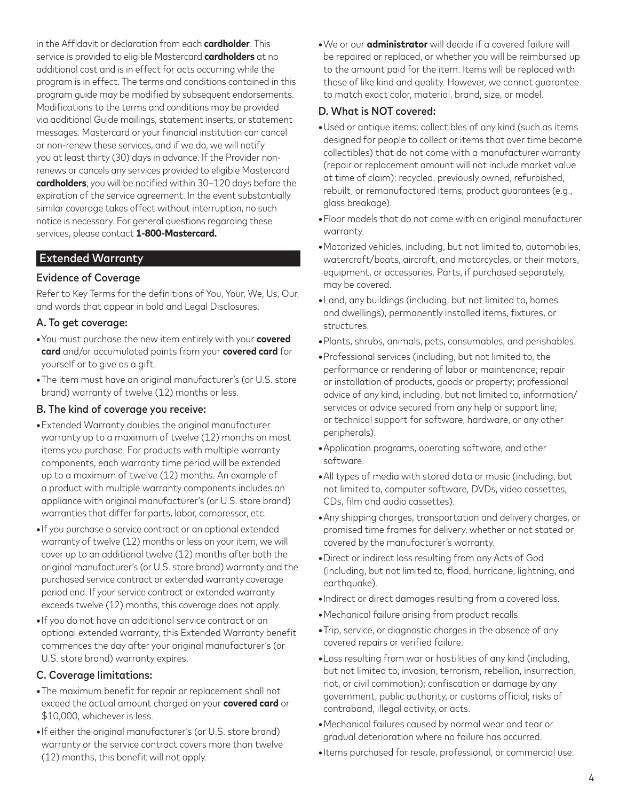in the Affidavit or declaration from each **cardholder**. This service is provided to eligible Mastercard **cardholders** at no additional cost and is in effect for acts occurring while the program is in effect. The terms and conditions contained in this program guide may be modified by subsequent endorsements. Modifications to the terms and conditions may be provided via additional Guide mailings, statement inserts, or statement messages. Mastercard or your financial institution can cancel or non-renew these services, and if we do, we will notify you at least thirty (30) days in advance. If the Provider nonrenews or cancels any services provided to eligible Mastercard **cardholders**, you will be notified within 30–120 days before the expiration of the service agreement. In the event substantially similar coverage takes effect without interruption, no such notice is necessary. For general questions regarding these services, please contact **1-800-Mastercard.**

# Extended Warranty

#### Evidence of Coverage

Refer to Key Terms for the definitions of You, Your, We, Us, Our, and words that appear in bold and Legal Disclosures.

#### A. To get coverage:

- **•**You must purchase the new item entirely with your **covered card** and/or accumulated points from your **covered card** for yourself or to give as a gift.
- **•**The item must have an original manufacturer's (or U.S. store brand) warranty of twelve (12) months or less.

#### B. The kind of coverage you receive:

- **•**Extended Warranty doubles the original manufacturer warranty up to a maximum of twelve (12) months on most items you purchase. For products with multiple warranty components, each warranty time period will be extended up to a maximum of twelve (12) months. An example of a product with multiple warranty components includes an appliance with original manufacturer's (or U.S. store brand) warranties that differ for parts, labor, compressor, etc.
- **•**If you purchase a service contract or an optional extended warranty of twelve (12) months or less on your item, we will cover up to an additional twelve (12) months after both the original manufacturer's (or U.S. store brand) warranty and the purchased service contract or extended warranty coverage period end. If your service contract or extended warranty exceeds twelve (12) months, this coverage does not apply.
- **•**If you do not have an additional service contract or an optional extended warranty, this Extended Warranty benefit commences the day after your original manufacturer's (or U.S. store brand) warranty expires.

# C. Coverage limitations:

- **•**The maximum benefit for repair or replacement shall not exceed the actual amount charged on your **covered card** or \$10,000, whichever is less.
- **•**If either the original manufacturer's (or U.S. store brand) warranty or the service contract covers more than twelve (12) months, this benefit will not apply.

**•**We or our **administrator** will decide if a covered failure will be repaired or replaced, or whether you will be reimbursed up to the amount paid for the item. Items will be replaced with those of like kind and quality. However, we cannot guarantee to match exact color, material, brand, size, or model.

#### D. What is NOT covered:

- **•**Used or antique items; collectibles of any kind (such as items designed for people to collect or items that over time become collectibles) that do not come with a manufacturer warranty (repair or replacement amount will not include market value at time of claim); recycled, previously owned, refurbished, rebuilt, or remanufactured items; product guarantees (e.g., glass breakage).
- **•**Floor models that do not come with an original manufacturer warranty.
- **•**Motorized vehicles, including, but not limited to, automobiles, watercraft/boats, aircraft, and motorcycles, or their motors, equipment, or accessories. Parts, if purchased separately, may be covered.
- **•**Land, any buildings (including, but not limited to, homes and dwellings), permanently installed items, fixtures, or structures.
- **•**Plants, shrubs, animals, pets, consumables, and perishables.
- **•**Professional services (including, but not limited to, the performance or rendering of labor or maintenance; repair or installation of products, goods or property; professional advice of any kind, including, but not limited to, information/ services or advice secured from any help or support line; or technical support for software, hardware, or any other peripherals).
- **•**Application programs, operating software, and other software.
- **•**All types of media with stored data or music (including, but not limited to, computer software, DVDs, video cassettes, CDs, film and audio cassettes).
- **•**Any shipping charges, transportation and delivery charges, or promised time frames for delivery, whether or not stated or covered by the manufacturer's warranty.
- **•**Direct or indirect loss resulting from any Acts of God (including, but not limited to, flood, hurricane, lightning, and earthquake).
- **•**Indirect or direct damages resulting from a covered loss.
- **•**Mechanical failure arising from product recalls.
- **•**Trip, service, or diagnostic charges in the absence of any covered repairs or verified failure.
- **•**Loss resulting from war or hostilities of any kind (including, but not limited to, invasion, terrorism, rebellion, insurrection, riot, or civil commotion); confiscation or damage by any government, public authority, or customs official; risks of contraband, illegal activity, or acts.
- **•**Mechanical failures caused by normal wear and tear or gradual deterioration where no failure has occurred.
- **•**Items purchased for resale, professional, or commercial use.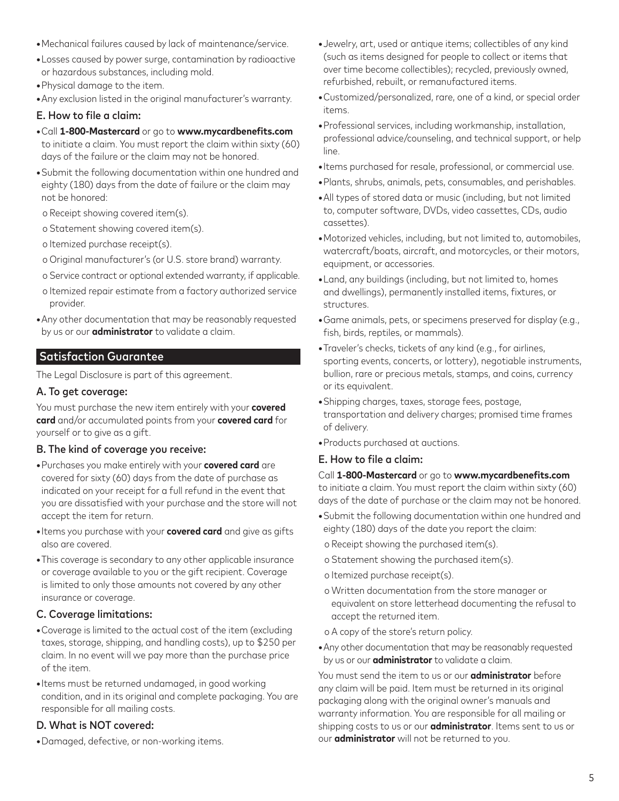- **•**Mechanical failures caused by lack of maintenance/service.
- **•**Losses caused by power surge, contamination by radioactive or hazardous substances, including mold.
- **•**Physical damage to the item.
- **•**Any exclusion listed in the original manufacturer's warranty.

#### E. How to file a claim:

- **•**Call **1-800-Mastercard** or go to **www.mycardbenefits.com** to initiate a claim. You must report the claim within sixty (60) days of the failure or the claim may not be honored.
- **•**Submit the following documentation within one hundred and eighty (180) days from the date of failure or the claim may not be honored:
- o Receipt showing covered item(s).
- o Statement showing covered item(s).
- o Itemized purchase receipt(s).
- o Original manufacturer's (or U.S. store brand) warranty.
- o Service contract or optional extended warranty, if applicable.
- o Itemized repair estimate from a factory authorized service provider.
- **•**Any other documentation that may be reasonably requested by us or our **administrator** to validate a claim.

# Satisfaction Guarantee

The Legal Disclosure is part of this agreement.

#### A. To get coverage:

You must purchase the new item entirely with your **covered card** and/or accumulated points from your **covered card** for yourself or to give as a gift.

#### B. The kind of coverage you receive:

- **•**Purchases you make entirely with your **covered card** are covered for sixty (60) days from the date of purchase as indicated on your receipt for a full refund in the event that you are dissatisfied with your purchase and the store will not accept the item for return.
- **•**Items you purchase with your **covered card** and give as gifts also are covered.
- **•**This coverage is secondary to any other applicable insurance or coverage available to you or the gift recipient. Coverage is limited to only those amounts not covered by any other insurance or coverage.

#### C. Coverage limitations:

- **•**Coverage is limited to the actual cost of the item (excluding taxes, storage, shipping, and handling costs), up to \$250 per claim. In no event will we pay more than the purchase price of the item.
- **•**Items must be returned undamaged, in good working condition, and in its original and complete packaging. You are responsible for all mailing costs.

## D. What is NOT covered:

**•**Damaged, defective, or non-working items.

- **•**Jewelry, art, used or antique items; collectibles of any kind (such as items designed for people to collect or items that over time become collectibles); recycled, previously owned, refurbished, rebuilt, or remanufactured items.
- **•**Customized/personalized, rare, one of a kind, or special order items.
- **•**Professional services, including workmanship, installation, professional advice/counseling, and technical support, or help line.
- **•**Items purchased for resale, professional, or commercial use.
- **•**Plants, shrubs, animals, pets, consumables, and perishables.
- **•**All types of stored data or music (including, but not limited to, computer software, DVDs, video cassettes, CDs, audio cassettes).
- **•**Motorized vehicles, including, but not limited to, automobiles, watercraft/boats, aircraft, and motorcycles, or their motors, equipment, or accessories.
- **•**Land, any buildings (including, but not limited to, homes and dwellings), permanently installed items, fixtures, or structures.
- **•**Game animals, pets, or specimens preserved for display (e.g., fish, birds, reptiles, or mammals).
- **•**Traveler's checks, tickets of any kind (e.g., for airlines, sporting events, concerts, or lottery), negotiable instruments, bullion, rare or precious metals, stamps, and coins, currency or its equivalent.
- **•**Shipping charges, taxes, storage fees, postage, transportation and delivery charges; promised time frames of delivery.
- **•**Products purchased at auctions.

#### E. How to file a claim:

Call **1-800-Mastercard** or go to **www.mycardbenefits.com** to initiate a claim. You must report the claim within sixty (60) days of the date of purchase or the claim may not be honored.

- **•**Submit the following documentation within one hundred and eighty (180) days of the date you report the claim:
- o Receipt showing the purchased item(s).
- o Statement showing the purchased item(s).
- o Itemized purchase receipt(s).
- o Written documentation from the store manager or equivalent on store letterhead documenting the refusal to accept the returned item.
- o A copy of the store's return policy.
- **•**Any other documentation that may be reasonably requested by us or our **administrator** to validate a claim.

You must send the item to us or our **administrator** before any claim will be paid. Item must be returned in its original packaging along with the original owner's manuals and warranty information. You are responsible for all mailing or shipping costs to us or our **administrator**. Items sent to us or our **administrator** will not be returned to you.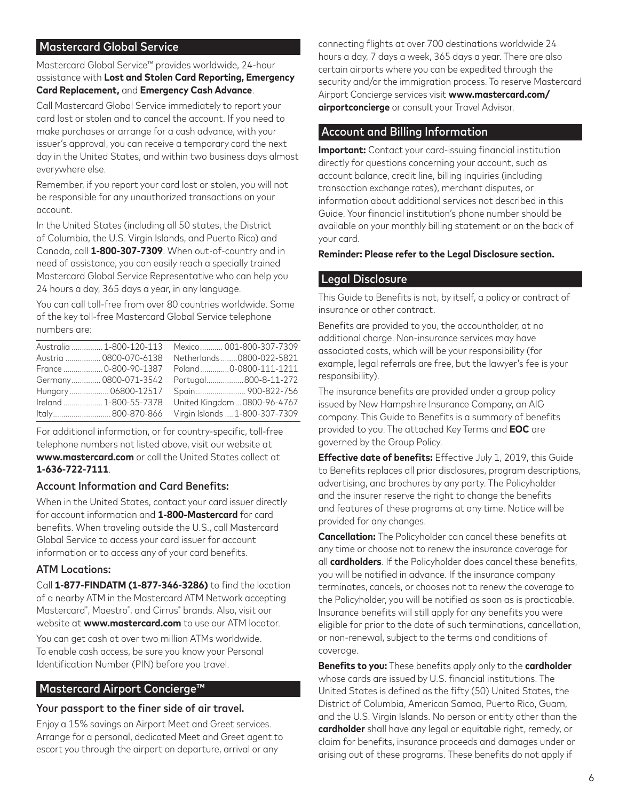# Mastercard Global Service

Mastercard Global Service™ provides worldwide, 24-hour assistance with **Lost and Stolen Card Reporting, Emergency Card Replacement,** and **Emergency Cash Advance**.

Call Mastercard Global Service immediately to report your card lost or stolen and to cancel the account. If you need to make purchases or arrange for a cash advance, with your issuer's approval, you can receive a temporary card the next day in the United States, and within two business days almost everywhere else.

Remember, if you report your card lost or stolen, you will not be responsible for any unauthorized transactions on your account.

In the United States (including all 50 states, the District of Columbia, the U.S. Virgin Islands, and Puerto Rico) and Canada, call **1-800-307-7309**. When out-of-country and in need of assistance, you can easily reach a specially trained Mastercard Global Service Representative who can help you 24 hours a day, 365 days a year, in any language.

You can call toll-free from over 80 countries worldwide. Some of the key toll-free Mastercard Global Service telephone numbers are:

| Australia  1-800-120-113 | Mexico 001-800-307-7309        |
|--------------------------|--------------------------------|
| Austria  0800-070-6138   | Netherlands0800-022-5821       |
| France  0-800-90-1387    | Poland 0-0800-111-1211         |
| Germany 0800-071-3542    | Portugal800-8-11-272           |
| Hungary 06800-12517      |                                |
| Ireland  1-800-55-7378   | United Kingdom  0800-96-4767   |
| Italy800-870-866         | Virgin Islands  1-800-307-7309 |

For additional information, or for country-specific, toll-free telephone numbers not listed above, visit our website at **www.mastercard.com** or call the United States collect at **1-636-722-7111**.

# Account Information and Card Benefits:

When in the United States, contact your card issuer directly for account information and **1-800-Mastercard** for card benefits. When traveling outside the U.S., call Mastercard Global Service to access your card issuer for account information or to access any of your card benefits.

# ATM Locations:

Call **1-877-FINDATM (1-877-346-3286)** to find the location of a nearby ATM in the Mastercard ATM Network accepting Mastercard® , Maestro® , and Cirrus® brands. Also, visit our website at **www.mastercard.com** to use our ATM locator.

You can get cash at over two million ATMs worldwide. To enable cash access, be sure you know your Personal Identification Number (PIN) before you travel.

# Mastercard Airport Concierge™

#### Your passport to the finer side of air travel.

Enjoy a 15% savings on Airport Meet and Greet services. Arrange for a personal, dedicated Meet and Greet agent to escort you through the airport on departure, arrival or any

connecting flights at over 700 destinations worldwide 24 hours a day, 7 days a week, 365 days a year. There are also certain airports where you can be expedited through the security and/or the immigration process. To reserve Mastercard Airport Concierge services visit **www.mastercard.com/ airportconcierge** or consult your Travel Advisor.

# Account and Billing Information

**Important:** Contact your card-issuing financial institution directly for questions concerning your account, such as account balance, credit line, billing inquiries (including transaction exchange rates), merchant disputes, or information about additional services not described in this Guide. Your financial institution's phone number should be available on your monthly billing statement or on the back of your card.

#### **Reminder: Please refer to the Legal Disclosure section.**

# Legal Disclosure

This Guide to Benefits is not, by itself, a policy or contract of insurance or other contract.

Benefits are provided to you, the accountholder, at no additional charge. Non-insurance services may have associated costs, which will be your responsibility (for example, legal referrals are free, but the lawyer's fee is your responsibility).

The insurance benefits are provided under a group policy issued by New Hampshire Insurance Company, an AIG company. This Guide to Benefits is a summary of benefits provided to you. The attached Key Terms and **EOC** are governed by the Group Policy.

**Effective date of benefits:** Effective July 1, 2019, this Guide to Benefits replaces all prior disclosures, program descriptions, advertising, and brochures by any party. The Policyholder and the insurer reserve the right to change the benefits and features of these programs at any time. Notice will be provided for any changes.

**Cancellation:** The Policyholder can cancel these benefits at any time or choose not to renew the insurance coverage for all **cardholders**. If the Policyholder does cancel these benefits, you will be notified in advance. If the insurance company terminates, cancels, or chooses not to renew the coverage to the Policyholder, you will be notified as soon as is practicable. Insurance benefits will still apply for any benefits you were eligible for prior to the date of such terminations, cancellation, or non-renewal, subject to the terms and conditions of coverage.

**Benefits to you:** These benefits apply only to the **cardholder** whose cards are issued by U.S. financial institutions. The United States is defined as the fifty (50) United States, the District of Columbia, American Samoa, Puerto Rico, Guam, and the U.S. Virgin Islands. No person or entity other than the **cardholder** shall have any legal or equitable right, remedy, or claim for benefits, insurance proceeds and damages under or arising out of these programs. These benefits do not apply if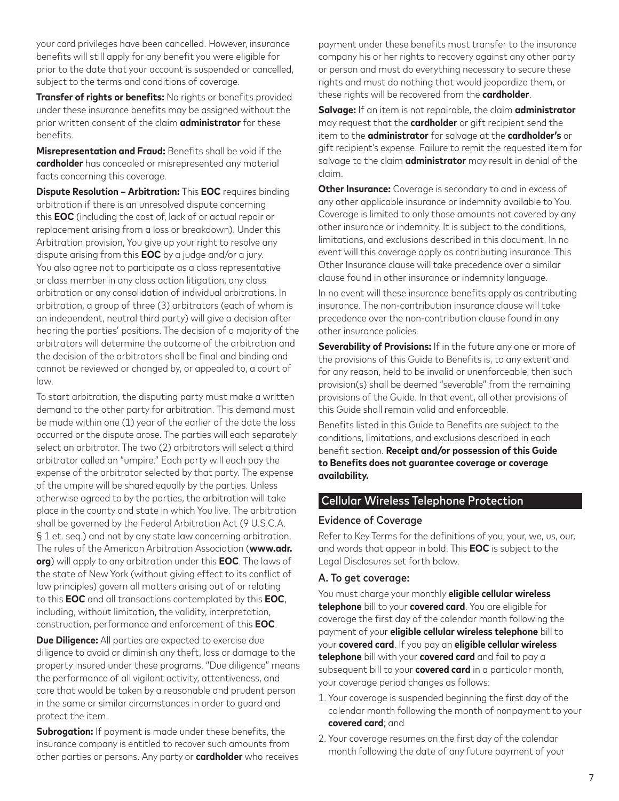your card privileges have been cancelled. However, insurance benefits will still apply for any benefit you were eligible for prior to the date that your account is suspended or cancelled, subject to the terms and conditions of coverage.

**Transfer of rights or benefits:** No rights or benefits provided under these insurance benefits may be assigned without the prior written consent of the claim **administrator** for these benefits.

**Misrepresentation and Fraud:** Benefits shall be void if the **cardholder** has concealed or misrepresented any material facts concerning this coverage.

**Dispute Resolution – Arbitration:** This **EOC** requires binding arbitration if there is an unresolved dispute concerning this **EOC** (including the cost of, lack of or actual repair or replacement arising from a loss or breakdown). Under this Arbitration provision, You give up your right to resolve any dispute arising from this **EOC** by a judge and/or a jury. You also agree not to participate as a class representative or class member in any class action litigation, any class arbitration or any consolidation of individual arbitrations. In arbitration, a group of three (3) arbitrators (each of whom is an independent, neutral third party) will give a decision after hearing the parties' positions. The decision of a majority of the arbitrators will determine the outcome of the arbitration and the decision of the arbitrators shall be final and binding and cannot be reviewed or changed by, or appealed to, a court of law.

To start arbitration, the disputing party must make a written demand to the other party for arbitration. This demand must be made within one (1) year of the earlier of the date the loss occurred or the dispute arose. The parties will each separately select an arbitrator. The two (2) arbitrators will select a third arbitrator called an "umpire." Each party will each pay the expense of the arbitrator selected by that party. The expense of the umpire will be shared equally by the parties. Unless otherwise agreed to by the parties, the arbitration will take place in the county and state in which You live. The arbitration shall be governed by the Federal Arbitration Act (9 U.S.C.A. § 1 et. seq.) and not by any state law concerning arbitration. The rules of the American Arbitration Association (**www.adr. org**) will apply to any arbitration under this **EOC**. The laws of the state of New York (without giving effect to its conflict of law principles) govern all matters arising out of or relating to this **EOC** and all transactions contemplated by this **EOC**, including, without limitation, the validity, interpretation, construction, performance and enforcement of this **EOC**.

**Due Diligence:** All parties are expected to exercise due diligence to avoid or diminish any theft, loss or damage to the property insured under these programs. "Due diligence" means the performance of all vigilant activity, attentiveness, and care that would be taken by a reasonable and prudent person in the same or similar circumstances in order to guard and protect the item.

**Subrogation:** If payment is made under these benefits, the insurance company is entitled to recover such amounts from other parties or persons. Any party or **cardholder** who receives

payment under these benefits must transfer to the insurance company his or her rights to recovery against any other party or person and must do everything necessary to secure these rights and must do nothing that would jeopardize them, or these rights will be recovered from the **cardholder**.

**Salvage:** If an item is not repairable, the claim **administrator** may request that the **cardholder** or gift recipient send the item to the **administrator** for salvage at the **cardholder's** or gift recipient's expense. Failure to remit the requested item for salvage to the claim **administrator** may result in denial of the claim.

**Other Insurance:** Coverage is secondary to and in excess of any other applicable insurance or indemnity available to You. Coverage is limited to only those amounts not covered by any other insurance or indemnity. It is subject to the conditions, limitations, and exclusions described in this document. In no event will this coverage apply as contributing insurance. This Other Insurance clause will take precedence over a similar clause found in other insurance or indemnity language.

In no event will these insurance benefits apply as contributing insurance. The non-contribution insurance clause will take precedence over the non-contribution clause found in any other insurance policies.

**Severability of Provisions:** If in the future any one or more of the provisions of this Guide to Benefits is, to any extent and for any reason, held to be invalid or unenforceable, then such provision(s) shall be deemed "severable" from the remaining provisions of the Guide. In that event, all other provisions of this Guide shall remain valid and enforceable.

Benefits listed in this Guide to Benefits are subject to the conditions, limitations, and exclusions described in each benefit section. **Receipt and/or possession of this Guide to Benefits does not guarantee coverage or coverage availability.**

# Cellular Wireless Telephone Protection

#### Evidence of Coverage

Refer to Key Terms for the definitions of you, your, we, us, our, and words that appear in bold. This **EOC** is subject to the Legal Disclosures set forth below.

#### A. To get coverage:

You must charge your monthly **eligible cellular wireless telephone** bill to your **covered card**. You are eligible for coverage the first day of the calendar month following the payment of your **eligible cellular wireless telephone** bill to your **covered card**. If you pay an **eligible cellular wireless telephone** bill with your **covered card** and fail to pay a subsequent bill to your **covered card** in a particular month, your coverage period changes as follows:

- 1. Your coverage is suspended beginning the first day of the calendar month following the month of nonpayment to your **covered card**; and
- 2. Your coverage resumes on the first day of the calendar month following the date of any future payment of your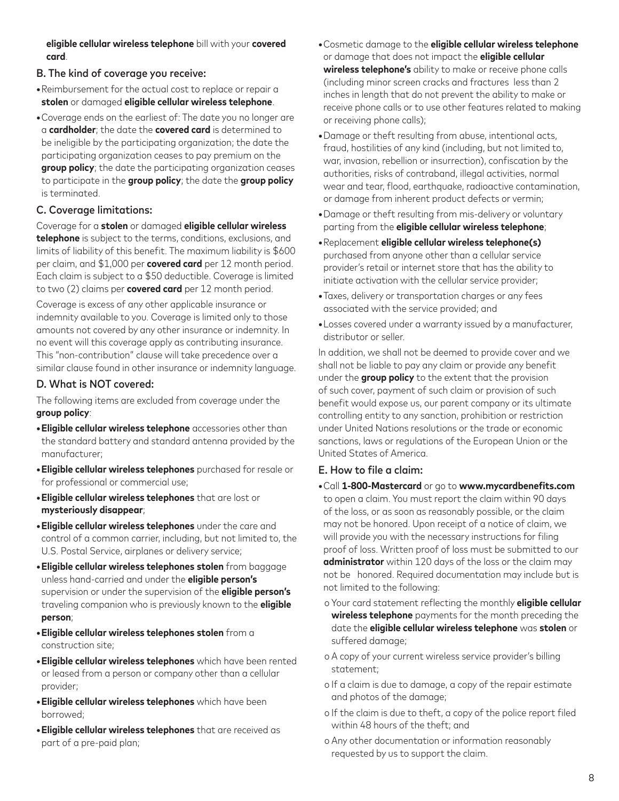**eligible cellular wireless telephone** bill with your **covered card**.

# B. The kind of coverage you receive:

- **•**Reimbursement for the actual cost to replace or repair a **stolen** or damaged **eligible cellular wireless telephone**.
- **•**Coverage ends on the earliest of: The date you no longer are a **cardholder**; the date the **covered card** is determined to be ineligible by the participating organization; the date the participating organization ceases to pay premium on the **group policy**; the date the participating organization ceases to participate in the **group policy**; the date the **group policy** is terminated.

# C. Coverage limitations:

Coverage for a **stolen** or damaged **eligible cellular wireless telephone** is subject to the terms, conditions, exclusions, and limits of liability of this benefit. The maximum liability is \$600 per claim, and \$1,000 per **covered card** per 12 month period. Each claim is subject to a \$50 deductible. Coverage is limited to two (2) claims per **covered card** per 12 month period.

Coverage is excess of any other applicable insurance or indemnity available to you. Coverage is limited only to those amounts not covered by any other insurance or indemnity. In no event will this coverage apply as contributing insurance. This "non-contribution" clause will take precedence over a similar clause found in other insurance or indemnity language.

# D. What is NOT covered:

The following items are excluded from coverage under the **group policy**:

- **•Eligible cellular wireless telephone** accessories other than the standard battery and standard antenna provided by the manufacturer;
- **•Eligible cellular wireless telephones** purchased for resale or for professional or commercial use;
- **•Eligible cellular wireless telephones** that are lost or **mysteriously disappear**;
- **•Eligible cellular wireless telephones** under the care and control of a common carrier, including, but not limited to, the U.S. Postal Service, airplanes or delivery service;
- **•Eligible cellular wireless telephones stolen** from baggage unless hand-carried and under the **eligible person's** supervision or under the supervision of the **eligible person's** traveling companion who is previously known to the **eligible person**;
- **•Eligible cellular wireless telephones stolen** from a construction site;
- **•Eligible cellular wireless telephones** which have been rented or leased from a person or company other than a cellular provider;
- **•Eligible cellular wireless telephones** which have been borrowed;
- **•Eligible cellular wireless telephones** that are received as part of a pre-paid plan;
- **•**Cosmetic damage to the **eligible cellular wireless telephone** or damage that does not impact the **eligible cellular wireless telephone's** ability to make or receive phone calls (including minor screen cracks and fractures less than 2 inches in length that do not prevent the ability to make or receive phone calls or to use other features related to making or receiving phone calls);
- **•**Damage or theft resulting from abuse, intentional acts, fraud, hostilities of any kind (including, but not limited to, war, invasion, rebellion or insurrection), confiscation by the authorities, risks of contraband, illegal activities, normal wear and tear, flood, earthquake, radioactive contamination, or damage from inherent product defects or vermin;
- **•**Damage or theft resulting from mis-delivery or voluntary parting from the **eligible cellular wireless telephone**;
- **•**Replacement **eligible cellular wireless telephone(s)** purchased from anyone other than a cellular service provider's retail or internet store that has the ability to initiate activation with the cellular service provider;
- **•**Taxes, delivery or transportation charges or any fees associated with the service provided; and
- **•**Losses covered under a warranty issued by a manufacturer, distributor or seller.

In addition, we shall not be deemed to provide cover and we shall not be liable to pay any claim or provide any benefit under the **group policy** to the extent that the provision of such cover, payment of such claim or provision of such benefit would expose us, our parent company or its ultimate controlling entity to any sanction, prohibition or restriction under United Nations resolutions or the trade or economic sanctions, laws or regulations of the European Union or the United States of America.

# E. How to file a claim:

- **•**Call **1-800-Mastercard** or go to **www.mycardbenefits.com** to open a claim. You must report the claim within 90 days of the loss, or as soon as reasonably possible, or the claim may not be honored. Upon receipt of a notice of claim, we will provide you with the necessary instructions for filing proof of loss. Written proof of loss must be submitted to our **administrator** within 120 days of the loss or the claim may not be honored. Required documentation may include but is not limited to the following:
- o Your card statement reflecting the monthly **eligible cellular wireless telephone** payments for the month preceding the date the **eligible cellular wireless telephone** was **stolen** or suffered damage;
- o A copy of your current wireless service provider's billing statement;
- o If a claim is due to damage, a copy of the repair estimate and photos of the damage;
- o If the claim is due to theft, a copy of the police report filed within 48 hours of the theft; and
- o Any other documentation or information reasonably requested by us to support the claim.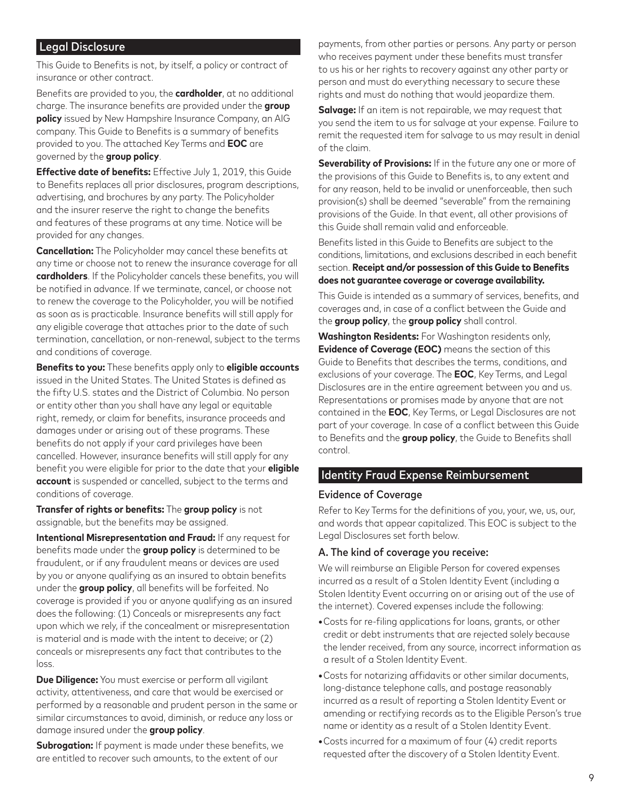# Legal Disclosure

This Guide to Benefits is not, by itself, a policy or contract of insurance or other contract.

Benefits are provided to you, the **cardholder**, at no additional charge. The insurance benefits are provided under the **group policy** issued by New Hampshire Insurance Company, an AIG company. This Guide to Benefits is a summary of benefits provided to you. The attached Key Terms and **EOC** are governed by the **group policy**.

**Effective date of benefits:** Effective July 1, 2019, this Guide to Benefits replaces all prior disclosures, program descriptions, advertising, and brochures by any party. The Policyholder and the insurer reserve the right to change the benefits and features of these programs at any time. Notice will be provided for any changes.

**Cancellation:** The Policyholder may cancel these benefits at any time or choose not to renew the insurance coverage for all **cardholders**. If the Policyholder cancels these benefits, you will be notified in advance. If we terminate, cancel, or choose not to renew the coverage to the Policyholder, you will be notified as soon as is practicable. Insurance benefits will still apply for any eligible coverage that attaches prior to the date of such termination, cancellation, or non-renewal, subject to the terms and conditions of coverage.

**Benefits to you:** These benefits apply only to **eligible accounts** issued in the United States. The United States is defined as the fifty U.S. states and the District of Columbia. No person or entity other than you shall have any legal or equitable right, remedy, or claim for benefits, insurance proceeds and damages under or arising out of these programs. These benefits do not apply if your card privileges have been cancelled. However, insurance benefits will still apply for any benefit you were eligible for prior to the date that your **eligible account** is suspended or cancelled, subject to the terms and conditions of coverage.

**Transfer of rights or benefits:** The **group policy** is not assignable, but the benefits may be assigned.

**Intentional Misrepresentation and Fraud:** If any request for benefits made under the **group policy** is determined to be fraudulent, or if any fraudulent means or devices are used by you or anyone qualifying as an insured to obtain benefits under the **group policy**, all benefits will be forfeited. No coverage is provided if you or anyone qualifying as an insured does the following: (1) Conceals or misrepresents any fact upon which we rely, if the concealment or misrepresentation is material and is made with the intent to deceive; or (2) conceals or misrepresents any fact that contributes to the loss.

**Due Diligence:** You must exercise or perform all vigilant activity, attentiveness, and care that would be exercised or performed by a reasonable and prudent person in the same or similar circumstances to avoid, diminish, or reduce any loss or damage insured under the **group policy**.

**Subrogation:** If payment is made under these benefits, we are entitled to recover such amounts, to the extent of our

payments, from other parties or persons. Any party or person who receives payment under these benefits must transfer to us his or her rights to recovery against any other party or person and must do everything necessary to secure these rights and must do nothing that would jeopardize them.

**Salvage:** If an item is not repairable, we may request that you send the item to us for salvage at your expense. Failure to remit the requested item for salvage to us may result in denial of the claim.

**Severability of Provisions:** If in the future any one or more of the provisions of this Guide to Benefits is, to any extent and for any reason, held to be invalid or unenforceable, then such provision(s) shall be deemed "severable" from the remaining provisions of the Guide. In that event, all other provisions of this Guide shall remain valid and enforceable.

Benefits listed in this Guide to Benefits are subject to the conditions, limitations, and exclusions described in each benefit section. **Receipt and/or possession of this Guide to Benefits does not guarantee coverage or coverage availability.**

This Guide is intended as a summary of services, benefits, and coverages and, in case of a conflict between the Guide and the **group policy**, the **group policy** shall control.

**Washington Residents:** For Washington residents only, **Evidence of Coverage (EOC)** means the section of this Guide to Benefits that describes the terms, conditions, and exclusions of your coverage. The **EOC**, Key Terms, and Legal Disclosures are in the entire agreement between you and us. Representations or promises made by anyone that are not contained in the **EOC**, Key Terms, or Legal Disclosures are not part of your coverage. In case of a conflict between this Guide to Benefits and the **group policy**, the Guide to Benefits shall control.

#### Identity Fraud Expense Reimbursement

#### Evidence of Coverage

Refer to Key Terms for the definitions of you, your, we, us, our, and words that appear capitalized. This EOC is subject to the Legal Disclosures set forth below.

#### A. The kind of coverage you receive:

We will reimburse an Eligible Person for covered expenses incurred as a result of a Stolen Identity Event (including a Stolen Identity Event occurring on or arising out of the use of the internet). Covered expenses include the following:

- **•**Costs for re-filing applications for loans, grants, or other credit or debt instruments that are rejected solely because the lender received, from any source, incorrect information as a result of a Stolen Identity Event.
- **•**Costs for notarizing affidavits or other similar documents, long-distance telephone calls, and postage reasonably incurred as a result of reporting a Stolen Identity Event or amending or rectifying records as to the Eligible Person's true name or identity as a result of a Stolen Identity Event.
- **•**Costs incurred for a maximum of four (4) credit reports requested after the discovery of a Stolen Identity Event.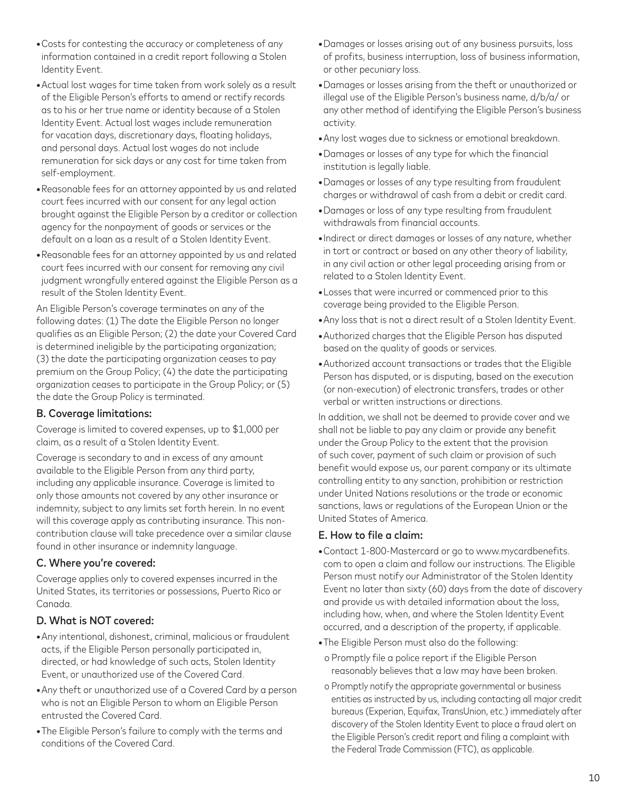- **•**Costs for contesting the accuracy or completeness of any information contained in a credit report following a Stolen Identity Event.
- **•**Actual lost wages for time taken from work solely as a result of the Eligible Person's efforts to amend or rectify records as to his or her true name or identity because of a Stolen Identity Event. Actual lost wages include remuneration for vacation days, discretionary days, floating holidays, and personal days. Actual lost wages do not include remuneration for sick days or any cost for time taken from self-employment.
- **•**Reasonable fees for an attorney appointed by us and related court fees incurred with our consent for any legal action brought against the Eligible Person by a creditor or collection agency for the nonpayment of goods or services or the default on a loan as a result of a Stolen Identity Event.
- **•**Reasonable fees for an attorney appointed by us and related court fees incurred with our consent for removing any civil judgment wrongfully entered against the Eligible Person as a result of the Stolen Identity Event.

An Eligible Person's coverage terminates on any of the following dates: (1) The date the Eligible Person no longer qualifies as an Eligible Person; (2) the date your Covered Card is determined ineligible by the participating organization; (3) the date the participating organization ceases to pay premium on the Group Policy; (4) the date the participating organization ceases to participate in the Group Policy; or (5) the date the Group Policy is terminated.

# B. Coverage limitations:

Coverage is limited to covered expenses, up to \$1,000 per claim, as a result of a Stolen Identity Event.

Coverage is secondary to and in excess of any amount available to the Eligible Person from any third party, including any applicable insurance. Coverage is limited to only those amounts not covered by any other insurance or indemnity, subject to any limits set forth herein. In no event will this coverage apply as contributing insurance. This noncontribution clause will take precedence over a similar clause found in other insurance or indemnity language.

# C. Where you're covered:

Coverage applies only to covered expenses incurred in the United States, its territories or possessions, Puerto Rico or Canada.

# D. What is NOT covered:

- **•**Any intentional, dishonest, criminal, malicious or fraudulent acts, if the Eligible Person personally participated in, directed, or had knowledge of such acts, Stolen Identity Event, or unauthorized use of the Covered Card.
- **•**Any theft or unauthorized use of a Covered Card by a person who is not an Eligible Person to whom an Eligible Person entrusted the Covered Card.
- **•**The Eligible Person's failure to comply with the terms and conditions of the Covered Card.
- **•**Damages or losses arising out of any business pursuits, loss of profits, business interruption, loss of business information, or other pecuniary loss.
- **•**Damages or losses arising from the theft or unauthorized or illegal use of the Eligible Person's business name, d/b/a/ or any other method of identifying the Eligible Person's business activity.
- **•**Any lost wages due to sickness or emotional breakdown.
- **•**Damages or losses of any type for which the financial institution is legally liable.
- **•**Damages or losses of any type resulting from fraudulent charges or withdrawal of cash from a debit or credit card.
- **•**Damages or loss of any type resulting from fraudulent withdrawals from financial accounts.
- **•**Indirect or direct damages or losses of any nature, whether in tort or contract or based on any other theory of liability, in any civil action or other legal proceeding arising from or related to a Stolen Identity Event.
- **•**Losses that were incurred or commenced prior to this coverage being provided to the Eligible Person.
- **•**Any loss that is not a direct result of a Stolen Identity Event.
- **•**Authorized charges that the Eligible Person has disputed based on the quality of goods or services.
- **•**Authorized account transactions or trades that the Eligible Person has disputed, or is disputing, based on the execution (or non-execution) of electronic transfers, trades or other verbal or written instructions or directions.

In addition, we shall not be deemed to provide cover and we shall not be liable to pay any claim or provide any benefit under the Group Policy to the extent that the provision of such cover, payment of such claim or provision of such benefit would expose us, our parent company or its ultimate controlling entity to any sanction, prohibition or restriction under United Nations resolutions or the trade or economic sanctions, laws or regulations of the European Union or the United States of America.

#### E. How to file a claim:

- **•**Contact 1-800-Mastercard or go to www.mycardbenefits. com to open a claim and follow our instructions. The Eligible Person must notify our Administrator of the Stolen Identity Event no later than sixty (60) days from the date of discovery and provide us with detailed information about the loss, including how, when, and where the Stolen Identity Event occurred, and a description of the property, if applicable.
- **•**The Eligible Person must also do the following:
- o Promptly file a police report if the Eligible Person reasonably believes that a law may have been broken.
- o Promptly notify the appropriate governmental or business entities as instructed by us, including contacting all major credit bureaus (Experian, Equifax, TransUnion, etc.) immediately after discovery of the Stolen Identity Event to place a fraud alert on the Eligible Person's credit report and filing a complaint with the Federal Trade Commission (FTC), as applicable.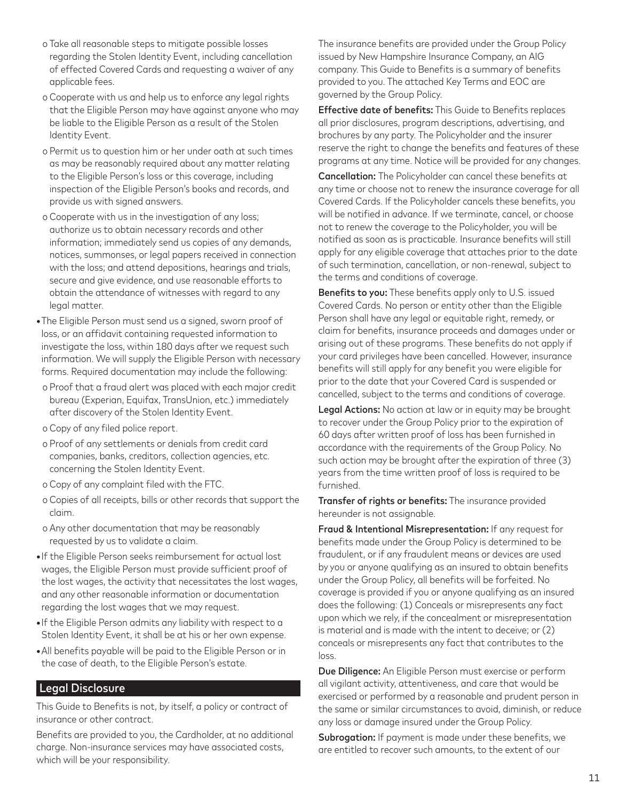- o Take all reasonable steps to mitigate possible losses regarding the Stolen Identity Event, including cancellation of effected Covered Cards and requesting a waiver of any applicable fees.
- o Cooperate with us and help us to enforce any legal rights that the Eligible Person may have against anyone who may be liable to the Eligible Person as a result of the Stolen Identity Event.
- o Permit us to question him or her under oath at such times as may be reasonably required about any matter relating to the Eligible Person's loss or this coverage, including inspection of the Eligible Person's books and records, and provide us with signed answers.
- o Cooperate with us in the investigation of any loss; authorize us to obtain necessary records and other information; immediately send us copies of any demands, notices, summonses, or legal papers received in connection with the loss; and attend depositions, hearings and trials, secure and give evidence, and use reasonable efforts to obtain the attendance of witnesses with regard to any legal matter.
- **•**The Eligible Person must send us a signed, sworn proof of loss, or an affidavit containing requested information to investigate the loss, within 180 days after we request such information. We will supply the Eligible Person with necessary forms. Required documentation may include the following:
- o Proof that a fraud alert was placed with each major credit bureau (Experian, Equifax, TransUnion, etc.) immediately after discovery of the Stolen Identity Event.
- o Copy of any filed police report.
- o Proof of any settlements or denials from credit card companies, banks, creditors, collection agencies, etc. concerning the Stolen Identity Event.
- o Copy of any complaint filed with the FTC.
- o Copies of all receipts, bills or other records that support the claim.
- o Any other documentation that may be reasonably requested by us to validate a claim.
- **•**If the Eligible Person seeks reimbursement for actual lost wages, the Eligible Person must provide sufficient proof of the lost wages, the activity that necessitates the lost wages, and any other reasonable information or documentation regarding the lost wages that we may request.
- **•**If the Eligible Person admits any liability with respect to a Stolen Identity Event, it shall be at his or her own expense.
- **•**All benefits payable will be paid to the Eligible Person or in the case of death, to the Eligible Person's estate.

# Legal Disclosure

This Guide to Benefits is not, by itself, a policy or contract of insurance or other contract.

Benefits are provided to you, the Cardholder, at no additional charge. Non-insurance services may have associated costs, which will be your responsibility.

The insurance benefits are provided under the Group Policy issued by New Hampshire Insurance Company, an AIG company. This Guide to Benefits is a summary of benefits provided to you. The attached Key Terms and EOC are governed by the Group Policy.

Effective date of benefits: This Guide to Benefits replaces all prior disclosures, program descriptions, advertising, and brochures by any party. The Policyholder and the insurer reserve the right to change the benefits and features of these programs at any time. Notice will be provided for any changes.

Cancellation: The Policyholder can cancel these benefits at any time or choose not to renew the insurance coverage for all Covered Cards. If the Policyholder cancels these benefits, you will be notified in advance. If we terminate, cancel, or choose not to renew the coverage to the Policyholder, you will be notified as soon as is practicable. Insurance benefits will still apply for any eligible coverage that attaches prior to the date of such termination, cancellation, or non-renewal, subject to the terms and conditions of coverage.

**Benefits to you:** These benefits apply only to U.S. issued Covered Cards. No person or entity other than the Eligible Person shall have any legal or equitable right, remedy, or claim for benefits, insurance proceeds and damages under or arising out of these programs. These benefits do not apply if your card privileges have been cancelled. However, insurance benefits will still apply for any benefit you were eligible for prior to the date that your Covered Card is suspended or cancelled, subject to the terms and conditions of coverage.

Legal Actions: No action at law or in equity may be brought to recover under the Group Policy prior to the expiration of 60 days after written proof of loss has been furnished in accordance with the requirements of the Group Policy. No such action may be brought after the expiration of three (3) years from the time written proof of loss is required to be furnished.

Transfer of rights or benefits: The insurance provided hereunder is not assignable.

Fraud & Intentional Misrepresentation: If any request for benefits made under the Group Policy is determined to be fraudulent, or if any fraudulent means or devices are used by you or anyone qualifying as an insured to obtain benefits under the Group Policy, all benefits will be forfeited. No coverage is provided if you or anyone qualifying as an insured does the following: (1) Conceals or misrepresents any fact upon which we rely, if the concealment or misrepresentation is material and is made with the intent to deceive; or (2) conceals or misrepresents any fact that contributes to the loss.

Due Diligence: An Eligible Person must exercise or perform all vigilant activity, attentiveness, and care that would be exercised or performed by a reasonable and prudent person in the same or similar circumstances to avoid, diminish, or reduce any loss or damage insured under the Group Policy.

Subrogation: If payment is made under these benefits, we are entitled to recover such amounts, to the extent of our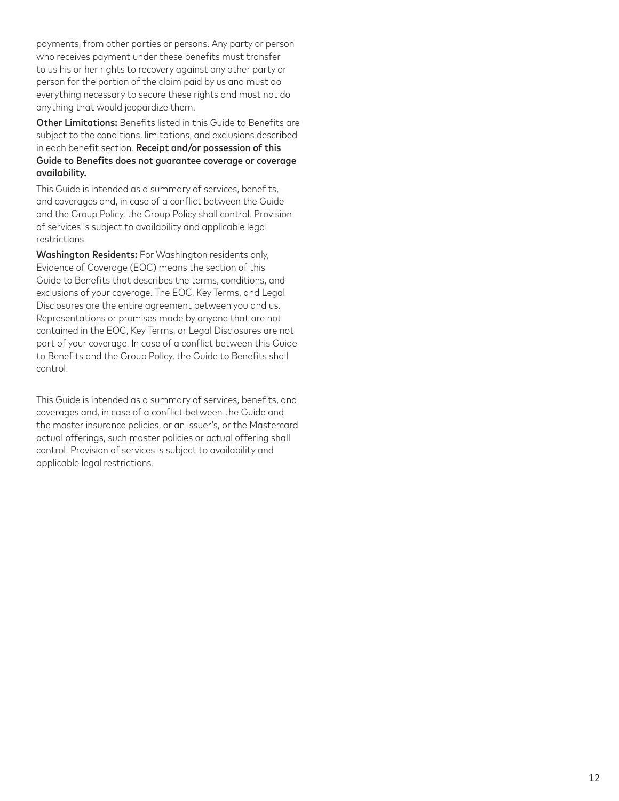payments, from other parties or persons. Any party or person who receives payment under these benefits must transfer to us his or her rights to recovery against any other party or person for the portion of the claim paid by us and must do everything necessary to secure these rights and must not do anything that would jeopardize them.

Other Limitations: Benefits listed in this Guide to Benefits are subject to the conditions, limitations, and exclusions described in each benefit section. Receipt and/or possession of this Guide to Benefits does not guarantee coverage or coverage availability.

This Guide is intended as a summary of services, benefits, and coverages and, in case of a conflict between the Guide and the Group Policy, the Group Policy shall control. Provision of services is subject to availability and applicable legal restrictions.

Washington Residents: For Washington residents only, Evidence of Coverage (EOC) means the section of this Guide to Benefits that describes the terms, conditions, and exclusions of your coverage. The EOC, Key Terms, and Legal Disclosures are the entire agreement between you and us. Representations or promises made by anyone that are not contained in the EOC, Key Terms, or Legal Disclosures are not part of your coverage. In case of a conflict between this Guide to Benefits and the Group Policy, the Guide to Benefits shall control.

This Guide is intended as a summary of services, benefits, and coverages and, in case of a conflict between the Guide and the master insurance policies, or an issuer's, or the Mastercard actual offerings, such master policies or actual offering shall control. Provision of services is subject to availability and applicable legal restrictions.